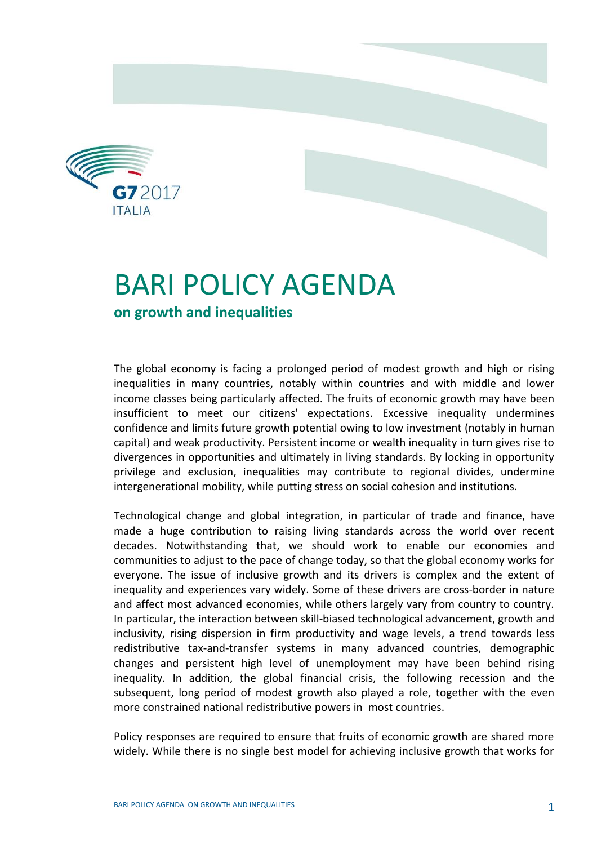

## BARI POLICY AGENDA

## **on growth and inequalities**

The global economy is facing a prolonged period of modest growth and high or rising inequalities in many countries, notably within countries and with middle and lower income classes being particularly affected. The fruits of economic growth may have been insufficient to meet our citizens' expectations. Excessive inequality undermines confidence and limits future growth potential owing to low investment (notably in human capital) and weak productivity. Persistent income or wealth inequality in turn gives rise to divergences in opportunities and ultimately in living standards. By locking in opportunity privilege and exclusion, inequalities may contribute to regional divides, undermine intergenerational mobility, while putting stress on social cohesion and institutions.

Technological change and global integration, in particular of trade and finance, have made a huge contribution to raising living standards across the world over recent decades. Notwithstanding that, we should work to enable our economies and communities to adjust to the pace of change today, so that the global economy works for everyone. The issue of inclusive growth and its drivers is complex and the extent of inequality and experiences vary widely. Some of these drivers are cross-border in nature and affect most advanced economies, while others largely vary from country to country. In particular, the interaction between skill-biased technological advancement, growth and inclusivity, rising dispersion in firm productivity and wage levels, a trend towards less redistributive tax-and-transfer systems in many advanced countries, demographic changes and persistent high level of unemployment may have been behind rising inequality. In addition, the global financial crisis, the following recession and the subsequent, long period of modest growth also played a role, together with the even more constrained national redistributive powers in most countries.

Policy responses are required to ensure that fruits of economic growth are shared more widely. While there is no single best model for achieving inclusive growth that works for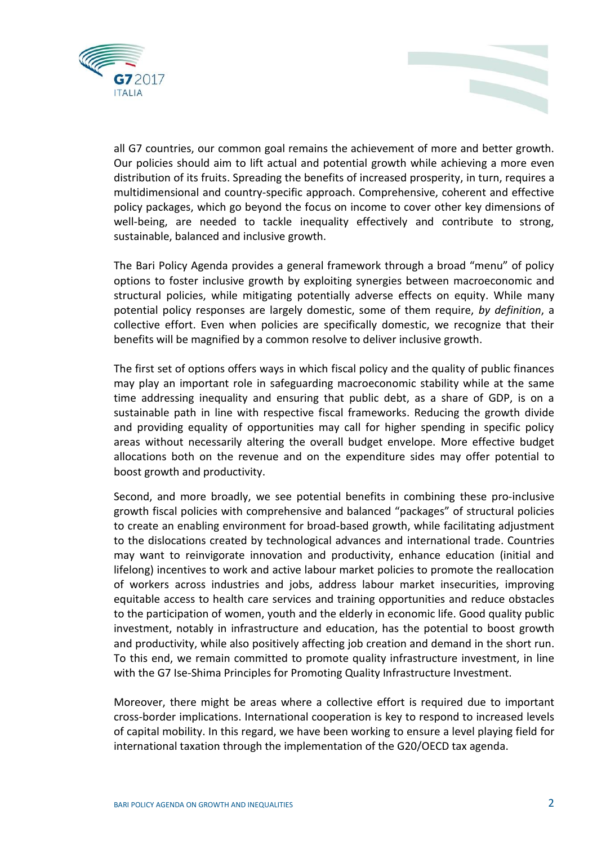



all G7 countries, our common goal remains the achievement of more and better growth. Our policies should aim to lift actual and potential growth while achieving a more even distribution of its fruits. Spreading the benefits of increased prosperity, in turn, requires a multidimensional and country-specific approach. Comprehensive, coherent and effective policy packages, which go beyond the focus on income to cover other key dimensions of well-being, are needed to tackle inequality effectively and contribute to strong, sustainable, balanced and inclusive growth.

The Bari Policy Agenda provides a general framework through a broad "menu" of policy options to foster inclusive growth by exploiting synergies between macroeconomic and structural policies, while mitigating potentially adverse effects on equity. While many potential policy responses are largely domestic, some of them require, *by definition*, a collective effort. Even when policies are specifically domestic, we recognize that their benefits will be magnified by a common resolve to deliver inclusive growth.

The first set of options offers ways in which fiscal policy and the quality of public finances may play an important role in safeguarding macroeconomic stability while at the same time addressing inequality and ensuring that public debt, as a share of GDP, is on a sustainable path in line with respective fiscal frameworks. Reducing the growth divide and providing equality of opportunities may call for higher spending in specific policy areas without necessarily altering the overall budget envelope. More effective budget allocations both on the revenue and on the expenditure sides may offer potential to boost growth and productivity.

Second, and more broadly, we see potential benefits in combining these pro-inclusive growth fiscal policies with comprehensive and balanced "packages" of structural policies to create an enabling environment for broad-based growth, while facilitating adjustment to the dislocations created by technological advances and international trade. Countries may want to reinvigorate innovation and productivity, enhance education (initial and lifelong) incentives to work and active labour market policies to promote the reallocation of workers across industries and jobs, address labour market insecurities, improving equitable access to health care services and training opportunities and reduce obstacles to the participation of women, youth and the elderly in economic life. Good quality public investment, notably in infrastructure and education, has the potential to boost growth and productivity, while also positively affecting job creation and demand in the short run. To this end, we remain committed to promote quality infrastructure investment, in line with the G7 Ise-Shima Principles for Promoting Quality Infrastructure Investment.

Moreover, there might be areas where a collective effort is required due to important cross-border implications. International cooperation is key to respond to increased levels of capital mobility. In this regard, we have been working to ensure a level playing field for international taxation through the implementation of the G20/OECD tax agenda.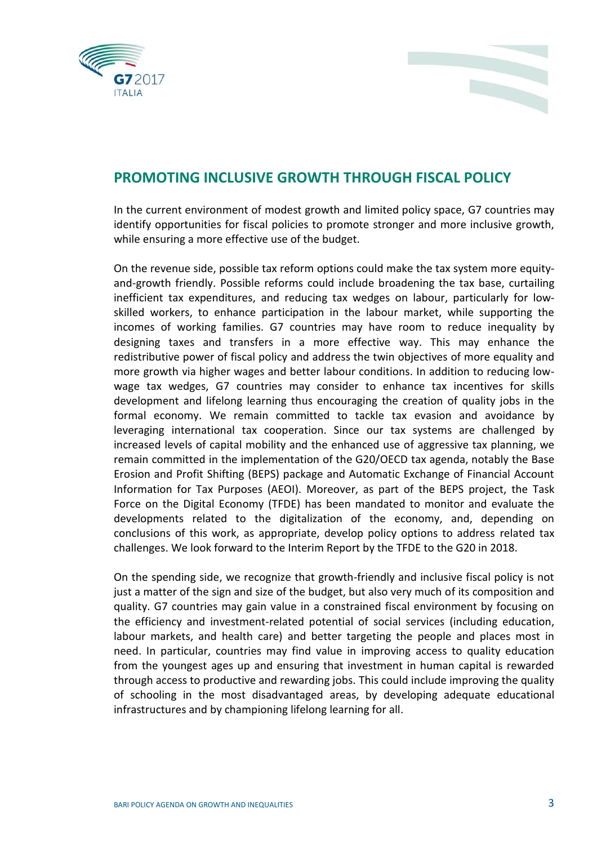



## **PROMOTING INCLUSIVE GROWTH THROUGH FISCAL POLICY**

In the current environment of modest growth and limited policy space, G7 countries may identify opportunities for fiscal policies to promote stronger and more inclusive growth, while ensuring a more effective use of the budget.

On the revenue side, possible tax reform options could make the tax system more equityand-growth friendly. Possible reforms could include broadening the tax base, curtailing inefficient tax expenditures, and reducing tax wedges on labour, particularly for lowskilled workers, to enhance participation in the labour market, while supporting the incomes of working families. G7 countries may have room to reduce inequality by designing taxes and transfers in a more effective way. This may enhance the redistributive power of fiscal policy and address the twin objectives of more equality and more growth via higher wages and better labour conditions. In addition to reducing lowwage tax wedges, G7 countries may consider to enhance tax incentives for skills development and lifelong learning thus encouraging the creation of quality jobs in the formal economy. We remain committed to tackle tax evasion and avoidance by leveraging international tax cooperation. Since our tax systems are challenged by increased levels of capital mobility and the enhanced use of aggressive tax planning, we remain committed in the implementation of the G20/OECD tax agenda, notably the Base Erosion and Profit Shifting (BEPS) package and Automatic Exchange of Financial Account Information for Tax Purposes (AEOI). Moreover, as part of the BEPS project, the Task Force on the Digital Economy (TFDE) has been mandated to monitor and evaluate the developments related to the digitalization of the economy, and, depending on conclusions of this work, as appropriate, develop policy options to address related tax challenges. We look forward to the Interim Report by the TFDE to the G20 in 2018.

On the spending side, we recognize that growth-friendly and inclusive fiscal policy is not just a matter of the sign and size of the budget, but also very much of its composition and quality. G7 countries may gain value in a constrained fiscal environment by focusing on the efficiency and investment-related potential of social services (including education, labour markets, and health care) and better targeting the people and places most in need. In particular, countries may find value in improving access to quality education from the youngest ages up and ensuring that investment in human capital is rewarded through access to productive and rewarding jobs. This could include improving the quality of schooling in the most disadvantaged areas, by developing adequate educational infrastructures and by championing lifelong learning for all.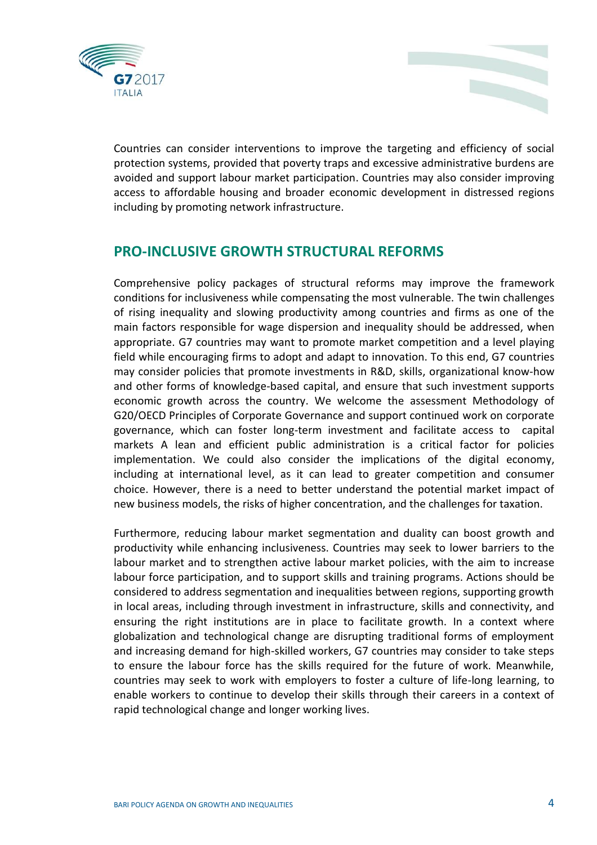



Countries can consider interventions to improve the targeting and efficiency of social protection systems, provided that poverty traps and excessive administrative burdens are avoided and support labour market participation. Countries may also consider improving access to affordable housing and broader economic development in distressed regions including by promoting network infrastructure.

## **PRO-INCLUSIVE GROWTH STRUCTURAL REFORMS**

Comprehensive policy packages of structural reforms may improve the framework conditions for inclusiveness while compensating the most vulnerable. The twin challenges of rising inequality and slowing productivity among countries and firms as one of the main factors responsible for wage dispersion and inequality should be addressed, when appropriate. G7 countries may want to promote market competition and a level playing field while encouraging firms to adopt and adapt to innovation. To this end, G7 countries may consider policies that promote investments in R&D, skills, organizational know-how and other forms of knowledge-based capital, and ensure that such investment supports economic growth across the country. We welcome the assessment Methodology of G20/OECD Principles of Corporate Governance and support continued work on corporate governance, which can foster long-term investment and facilitate access to capital markets A lean and efficient public administration is a critical factor for policies implementation. We could also consider the implications of the digital economy, including at international level, as it can lead to greater competition and consumer choice. However, there is a need to better understand the potential market impact of new business models, the risks of higher concentration, and the challenges for taxation.

Furthermore, reducing labour market segmentation and duality can boost growth and productivity while enhancing inclusiveness. Countries may seek to lower barriers to the labour market and to strengthen active labour market policies, with the aim to increase labour force participation, and to support skills and training programs. Actions should be considered to address segmentation and inequalities between regions, supporting growth in local areas, including through investment in infrastructure, skills and connectivity, and ensuring the right institutions are in place to facilitate growth. In a context where globalization and technological change are disrupting traditional forms of employment and increasing demand for high-skilled workers, G7 countries may consider to take steps to ensure the labour force has the skills required for the future of work. Meanwhile, countries may seek to work with employers to foster a culture of life-long learning, to enable workers to continue to develop their skills through their careers in a context of rapid technological change and longer working lives.